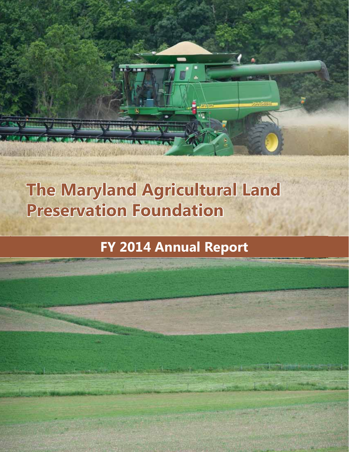# **The Maryland Agricultural Land Preservation Foundation**

**WARRANT ASSESSED WARRING** 

## **FY 2014 Annual Report**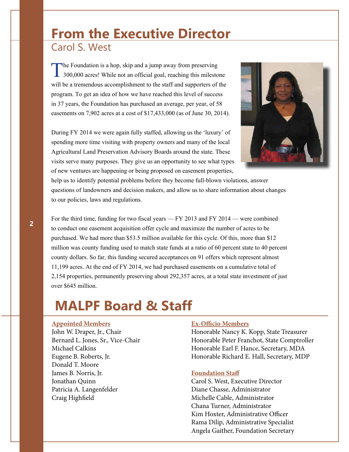### **From the Executive Director** Carol S. West

The Foundation is a hop, skip and a jump away from preserving<br>300,000 acres! While not an official goal, reaching this milesto 300,000 acres! While not an official goal, reaching this milestone will be a tremendous accomplishment to the staff and supporters of the program. To get an idea of how we have reached this level of success in 37 years, the Foundation has purchased an average, per year, of 58 easements on 7,902 acres at a cost of \$17,433,000 (as of June 30, 2014).

During FY 2014 we were again fully staffed, allowing us the 'luxury' of spending more time visiting with property owners and many of the local Agricultural Land Preservation Advisory Boards around the state. These visits serve many purposes. They give us an opportunity to see what types of new ventures are happening or being proposed on easement properties,



help us to identify potential problems before they become full-blown violations, answer questions of landowners and decision makers, and allow us to share information about changes to our policies, laws and regulations.

For the third time, funding for two fiscal years — FY 2013 and FY 2014 — were combined to conduct one easement acquisition offer cycle and maximize the number of acres to be purchased. We had more than \$53.5 million available for this cycle. Of this, more than \$12 million was county funding used to match state funds at a ratio of 60 percent state to 40 percent county dollars. So far, this funding secured acceptances on 91 offers which represent almost 11,199 acres. At the end of FY 2014, we had purchased easements on a cumulative total of 2,154 properties, permanently preserving about 292,357 acres, at a total state investment of just over \$645 million.

## **MALPF Board & Staff**

#### **Appointed Members**

John W. Draper, Jr., Chair Bernard L. Jones, Sr., Vice-Chair Michael Calkins Eugene B. Roberts, Jr. Donald T. Moore James B. Norris, Jr. Jonathan Quinn Patricia A. Langenfelder Craig Highfield

#### **Ex-Officio Members**

Honorable Nancy K. Kopp, State Treasurer Honorable Peter Franchot, State Comptroller Honorable Earl F. Hance, Secretary, MDA Honorable Richard E. Hall, Secretary, MDP

#### **Foundation Staff**

Carol S. West, Executive Director Diane Chasse, Administrator Michelle Cable, Administrator Chana Turner, Administrator Kim Hoxter, Administrative Officer Rama Dilip, Administrative Specialist Angela Gaither, Foundation Secretary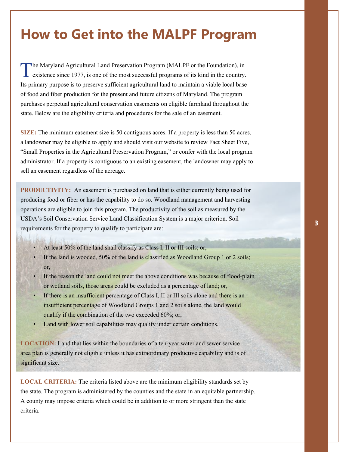### **How to Get into the MALPF Program**

The Maryland Agricultural Land Preservation Program (MALPF or the Foundation), in existence since 1977, is one of the most successful programs of its kind in the country. Its primary purpose is to preserve sufficient agricultural land to maintain a viable local base of food and fiber production for the present and future citizens of Maryland. The program purchases perpetual agricultural conservation easements on eligible farmland throughout the state. Below are the eligibility criteria and procedures for the sale of an easement.

**SIZE:** The minimum easement size is 50 contiguous acres. If a property is less than 50 acres, a landowner may be eligible to apply and should visit our website to review Fact Sheet Five, "Small Properties in the Agricultural Preservation Program," or confer with the local program administrator. If a property is contiguous to an existing easement, the landowner may apply to sell an easement regardless of the acreage.

**PRODUCTIVITY:** An easement is purchased on land that is either currently being used for producing food or fiber or has the capability to do so. Woodland management and harvesting operations are eligible to join this program. The productivity of the soil as measured by the USDA's Soil Conservation Service Land Classification System is a major criterion. Soil requirements for the property to qualify to participate are:

- At least  $50\%$  of the land shall classify as Class I, II or III soils; or,
- If the land is wooded,  $50\%$  of the land is classified as Woodland Group 1 or 2 soils; or,
- If the reason the land could not meet the above conditions was because of flood-plain or wetland soils, those areas could be excluded as a percentage of land; or,
- If there is an insufficient percentage of Class I, II or III soils alone and there is an insufficient percentage of Woodland Groups 1 and 2 soils alone, the land would qualify if the combination of the two exceeded 60%; or,
- Land with lower soil capabilities may qualify under certain conditions.

**LOCATION:** Land that lies within the boundaries of a ten-year water and sewer service area plan is generally not eligible unless it has extraordinary productive capability and is of significant size.

**LOCAL CRITERIA:** The criteria listed above are the minimum eligibility standards set by the state. The program is administered by the counties and the state in an equitable partnership. A county may impose criteria which could be in addition to or more stringent than the state criteria.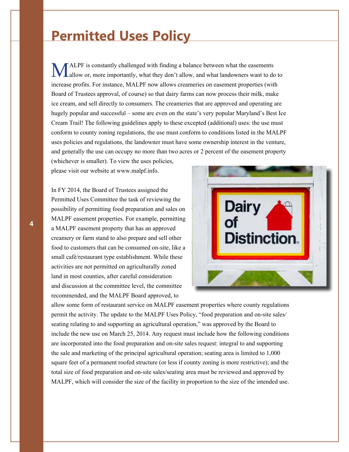### **Permitted Uses Policy**

MALPF is constantly challenged with finding a balance between what the easements<br>allow or, more importantly, what they don't allow, and what landowners want to do<br>increase restite. For instance, MALPE now ellows exercises allow or, more importantly, what they don't allow, and what landowners want to do to increase profits. For instance, MALPF now allows creameries on easement properties (with Board of Trustees approval, of course) so that dairy farms can now process their milk, make ice cream, and sell directly to consumers. The creameries that are approved and operating are hugely popular and successful – some are even on the state's very popular Maryland's Best Ice Cream Trail! The following guidelines apply to these excepted (additional) uses: the use must conform to county zoning regulations, the use must conform to conditions listed in the MALPF uses policies and regulations, the landowner must have some ownership interest in the venture, and generally the use can occupy no more than two acres or 2 percent of the easement property

(whichever is smaller). To view the uses policies, please visit our website at www.malpf.info.

In FY 2014, the Board of Trustees assigned the Permitted Uses Committee the task of reviewing the possibility of permitting food preparation and sales on MALPF easement properties. For example, permitting a MALPF easement property that has an approved creamery or farm stand to also prepare and sell other food to customers that can be consumed on-site, like a small café/restaurant type establishment. While these activities are not permitted on agriculturally zoned land in most counties, after careful consideration and discussion at the committee level, the committee recommended, and the MALPF Board approved, to



allow some form of restaurant service on MALPF easement properties where county regulations permit the activity. The update to the MALPF Uses Policy, "food preparation and on-site sales/ seating relating to and supporting an agricultural operation," was approved by the Board to include the new use on March 25, 2014. Any request must include how the following conditions are incorporated into the food preparation and on-site sales request: integral to and supporting the sale and marketing of the principal agricultural operation; seating area is limited to 1,000 square feet of a permanent roofed structure (or less if county zoning is more restrictive); and the total size of food preparation and on-site sales/seating area must be reviewed and approved by MALPF, which will consider the size of the facility in proportion to the size of the intended use.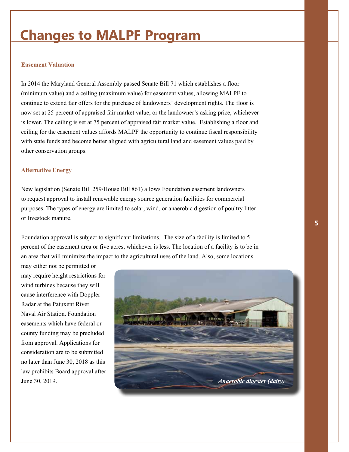## **Changes to MALPF Program**

#### **Easement Valuation**

In 2014 the Maryland General Assembly passed Senate Bill 71 which establishes a floor (minimum value) and a ceiling (maximum value) for easement values, allowing MALPF to continue to extend fair offers for the purchase of landowners' development rights. The floor is now set at 25 percent of appraised fair market value, or the landowner's asking price, whichever is lower. The ceiling is set at 75 percent of appraised fair market value. Establishing a floor and ceiling for the easement values affords MALPF the opportunity to continue fiscal responsibility with state funds and become better aligned with agricultural land and easement values paid by other conservation groups.

#### **Alternative Energy**

New legislation (Senate Bill 259/House Bill 861) allows Foundation easement landowners to request approval to install renewable energy source generation facilities for commercial purposes. The types of energy are limited to solar, wind, or anaerobic digestion of poultry litter or livestock manure.

Foundation approval is subject to significant limitations. The size of a facility is limited to 5 percent of the easement area or five acres, whichever is less. The location of a facility is to be in an area that will minimize the impact to the agricultural uses of the land. Also, some locations

may either not be permitted or may require height restrictions for wind turbines because they will cause interference with Doppler Radar at the Patuxent River Naval Air Station. Foundation easements which have federal or county funding may be precluded from approval. Applications for consideration are to be submitted no later than June 30, 2018 as this law prohibits Board approval after

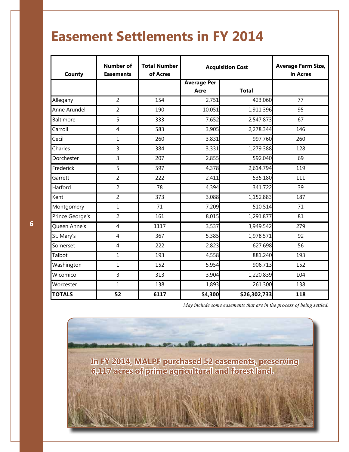## **Easement Settlements in FY 2014**

| County          | <b>Number of</b><br><b>Easements</b> | <b>Total Number</b><br>of Acres | <b>Acquisition Cost</b> |              | <b>Average Farm Size,</b><br>in Acres |
|-----------------|--------------------------------------|---------------------------------|-------------------------|--------------|---------------------------------------|
|                 |                                      |                                 | <b>Average Per</b>      |              |                                       |
|                 |                                      |                                 | Acre                    | <b>Total</b> |                                       |
| Allegany        | $\overline{2}$                       | 154                             | 2,751                   | 423,060      | 77                                    |
| Anne Arundel    | $\overline{2}$                       | 190                             | 10,051                  | 1,911,396    | 95                                    |
| Baltimore       | 5                                    | 333                             | 7,652                   | 2,547,873    | 67                                    |
| Carroll         | $\overline{4}$                       | 583                             | 3,905                   | 2,278,344    | 146                                   |
| Cecil           | $\mathbf{1}$                         | 260                             | 3,831                   | 997,760      | 260                                   |
| Charles         | 3                                    | 384                             | 3,331                   | 1,279,388    | 128                                   |
| Dorchester      | 3                                    | 207                             | 2,855                   | 592,040      | 69                                    |
| Frederick       | 5                                    | 597                             | 4,378                   | 2,614,794    | 119                                   |
| Garrett         | $\overline{2}$                       | 222                             | 2,411                   | 535,180      | 111                                   |
| Harford         | $\overline{2}$                       | 78                              | 4,394                   | 341,722      | 39                                    |
| Kent            | $\overline{2}$                       | 373                             | 3,088                   | 1,152,883    | 187                                   |
| Montgomery      | $\mathbf 1$                          | 71                              | 7,209                   | 510,514      | 71                                    |
| Prince George's | $\overline{2}$                       | 161                             | 8,015                   | 1,291,877    | 81                                    |
| Queen Anne's    | $\overline{4}$                       | 1117                            | 3,537                   | 3,949,542    | 279                                   |
| St. Mary's      | 4                                    | 367                             | 5,385                   | 1,978,571    | 92                                    |
| Somerset        | $\overline{4}$                       | 222                             | 2,823                   | 627,698      | 56                                    |
| Talbot          | $\mathbf{1}$                         | 193                             | 4,558                   | 881,240      | 193                                   |
| Washington      | 1                                    | 152                             | 5,954                   | 906,713      | 152                                   |
| Wicomico        | 3                                    | 313                             | 3,904                   | 1,220,839    | 104                                   |
| Worcester       | $\mathbf{1}$                         | 138                             | 1,893                   | 261,300      | 138                                   |
| <b>TOTALS</b>   | 52                                   | 6117                            | \$4,300                 | \$26,302,733 | 118                                   |

*May include some easements that are in the process of being settled.*

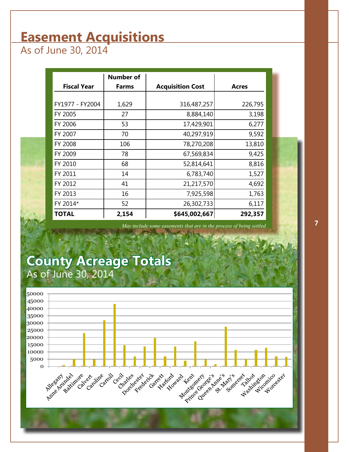## **Easement Acquisitions**

As of June 30, 2014

|                    | <b>Number of</b> |                         |              |
|--------------------|------------------|-------------------------|--------------|
| <b>Fiscal Year</b> | <b>Farms</b>     | <b>Acquisition Cost</b> | <b>Acres</b> |
|                    |                  |                         |              |
| FY1977 - FY2004    | 1,629            | 316,487,257             | 226,795      |
| FY 2005            | 27               | 8,884,140               | 3,198        |
| FY 2006            | 53               | 17,429,901              | 6,277        |
| FY 2007            | 70               | 40,297,919              | 9,592        |
| FY 2008            | 106              | 78,270,208              | 13,810       |
| FY 2009            | 78               | 67,569,834              | 9,425        |
| FY 2010            | 68               | 52,814,641              | 8,816        |
| FY 2011            | 14               | 6,783,740               | 1,527        |
| FY 2012            | 41               | 21,217,570              | 4,692        |
| FY 2013            | 16               | 7,925,598               | 1,763        |
| FY 2014*           | 52               | 26,302,733              | 6,117        |
| <b>TOTAL</b>       | 2,154            | \$645,002,667           | 292,357      |

*May include some easements that are in the process of being settled.*

### **County Acreage Totals** As of June 30, 2014



**7**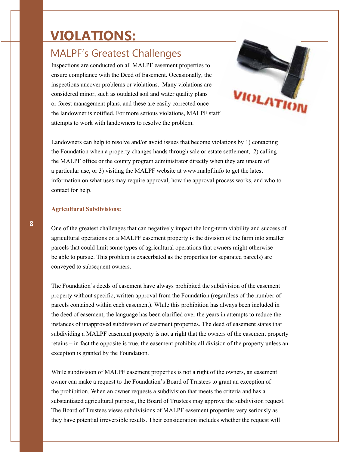## **VIOLATIONS:**

### MALPF's Greatest Challenges

Inspections are conducted on all MALPF easement properties to ensure compliance with the Deed of Easement. Occasionally, the inspections uncover problems or violations. Many violations are considered minor, such as outdated soil and water quality plans or forest management plans, and these are easily corrected once the landowner is notified. For more serious violations, MALPF staff attempts to work with landowners to resolve the problem.



Landowners can help to resolve and/or avoid issues that become violations by 1) contacting the Foundation when a property changes hands through sale or estate settlement, 2) calling the MALPF office or the county program administrator directly when they are unsure of a particular use, or 3) visiting the MALPF website at www.malpf.info to get the latest information on what uses may require approval, how the approval process works, and who to contact for help.

#### **Agricultural Subdivisions:**

One of the greatest challenges that can negatively impact the long-term viability and success of agricultural operations on a MALPF easement property is the division of the farm into smaller parcels that could limit some types of agricultural operations that owners might otherwise be able to pursue. This problem is exacerbated as the properties (or separated parcels) are conveyed to subsequent owners.

The Foundation's deeds of easement have always prohibited the subdivision of the easement property without specific, written approval from the Foundation (regardless of the number of parcels contained within each easement). While this prohibition has always been included in the deed of easement, the language has been clarified over the years in attempts to reduce the instances of unapproved subdivision of easement properties. The deed of easement states that subdividing a MALPF easement property is not a right that the owners of the easement property retains – in fact the opposite is true, the easement prohibits all division of the property unless an exception is granted by the Foundation.

While subdivision of MALPF easement properties is not a right of the owners, an easement owner can make a request to the Foundation's Board of Trustees to grant an exception of the prohibition. When an owner requests a subdivision that meets the criteria and has a substantiated agricultural purpose, the Board of Trustees may approve the subdivision request. The Board of Trustees views subdivisions of MALPF easement properties very seriously as they have potential irreversible results. Their consideration includes whether the request will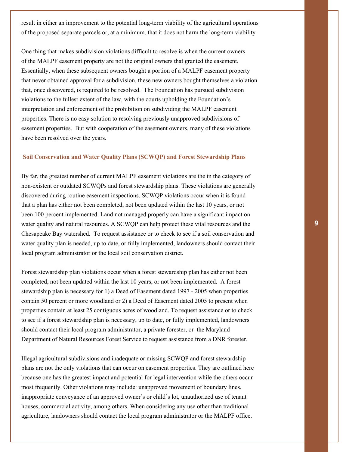result in either an improvement to the potential long-term viability of the agricultural operations of the proposed separate parcels or, at a minimum, that it does not harm the long-term viability

One thing that makes subdivision violations difficult to resolve is when the current owners of the MALPF easement property are not the original owners that granted the easement. Essentially, when these subsequent owners bought a portion of a MALPF easement property that never obtained approval for a subdivision, these new owners bought themselves a violation that, once discovered, is required to be resolved. The Foundation has pursued subdivision violations to the fullest extent of the law, with the courts upholding the Foundation's interpretation and enforcement of the prohibition on subdividing the MALPF easement properties. There is no easy solution to resolving previously unapproved subdivisions of easement properties. But with cooperation of the easement owners, many of these violations have been resolved over the years.

#### **Soil Conservation and Water Quality Plans (SCWQP) and Forest Stewardship Plans**

By far, the greatest number of current MALPF easement violations are the in the category of non-existent or outdated SCWQPs and forest stewardship plans. These violations are generally discovered during routine easement inspections. SCWQP violations occur when it is found that a plan has either not been completed, not been updated within the last 10 years, or not been 100 percent implemented. Land not managed properly can have a significant impact on water quality and natural resources. A SCWQP can help protect these vital resources and the Chesapeake Bay watershed. To request assistance or to check to see if a soil conservation and water quality plan is needed, up to date, or fully implemented, landowners should contact their local program administrator or the local soil conservation district.

Forest stewardship plan violations occur when a forest stewardship plan has either not been completed, not been updated within the last 10 years, or not been implemented. A forest stewardship plan is necessary for 1) a Deed of Easement dated 1997 - 2005 when properties contain 50 percent or more woodland or 2) a Deed of Easement dated 2005 to present when properties contain at least 25 contiguous acres of woodland. To request assistance or to check to see if a forest stewardship plan is necessary, up to date, or fully implemented, landowners should contact their local program administrator, a private forester, or the Maryland Department of Natural Resources Forest Service to request assistance from a DNR forester.

Illegal agricultural subdivisions and inadequate or missing SCWQP and forest stewardship plans are not the only violations that can occur on easement properties. They are outlined here because one has the greatest impact and potential for legal intervention while the others occur most frequently. Other violations may include: unapproved movement of boundary lines, inappropriate conveyance of an approved owner's or child's lot, unauthorized use of tenant houses, commercial activity, among others. When considering any use other than traditional agriculture, landowners should contact the local program administrator or the MALPF office.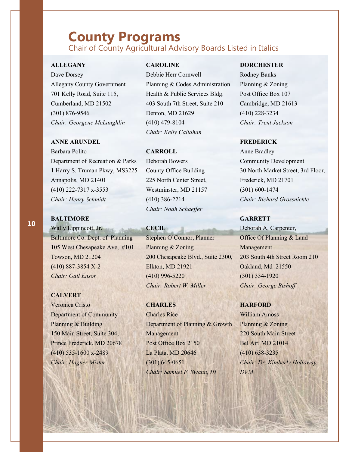### **County Programs**

### Chair of County Agricultural Advisory Boards Listed in Italics

#### **ALLEGANY**

Dave Dorsey

Allegany County Government 701 Kelly Road, Suite 115, Cumberland, MD 21502 (301) 876-9546 *Chair: Georgene McLaughlin* 

#### **ANNE ARUNDEL**

Barbara Polito Department of Recreation & Parks 1 Harry S. Truman Pkwy, MS3225 Annapolis, MD 21401 (410) 222-7317 x-3553 *Chair: Henry Schmidt* 

#### **BALTIMORE**

Wally Lippincott, Jr. Baltimore Co. Dept. of Planning 105 West Chesapeake Ave, #101 Towson, MD 21204 (410) 887-3854 X-2 *Chair: Gail Ensor* 

#### **CALVERT**

Veronica Cristo Department of Community Planning & Building 150 Main Street, Suite 304, Prince Frederick, MD 20678 (410) 535-1600 x-2489 *Chair: Hagner Mister* 

#### **CAROLINE**

Debbie Herr Cornwell Planning & Codes Administration Health & Public Services Bldg. 403 South 7th Street, Suite 210 Denton, MD 21629 (410) 479-8104 *Chair: Kelly Callahan* 

#### **CARROLL**

Deborah Bowers County Office Building 225 North Center Street, Westminster, MD 21157 (410) 386-2214 *Chair: Noah Schaeffer* 

#### **CECIL**

Stephen O'Connor, Planner Planning & Zoning 200 Chesapeake Blvd., Suite 2300, Elkton, MD 21921 (410) 996-5220 *Chair: Robert W. Miller* 

#### **CHARLES**

Charles Rice Department of Planning & Growth Management Post Office Box 2150 La Plata, MD 20646 (301) 645-0651 *Chair: Samuel F. Swann, III* 

#### **DORCHESTER**

Rodney Banks Planning & Zoning Post Office Box 107 Cambridge, MD 21613 (410) 228-3234 *Chair: Trent Jackson* 

#### **FREDERICK**

Anne Bradley Community Development 30 North Market Street, 3rd Floor, Frederick, MD 21701 (301) 600-1474 *Chair: Richard Grossnickle* 

#### **GARRETT**

Deborah A. Carpenter, Office Of Planning & Land Management 203 South 4th Street Room 210 Oakland, Md 21550 (301) 334-1920 *Chair: George Bishoff* 

#### **HARFORD**

William Amoss Planning & Zoning 220 South Main Street Bel Air, MD 21014 (410) 638-3235 *Chair: Dr. Kimberly Holloway, DVM*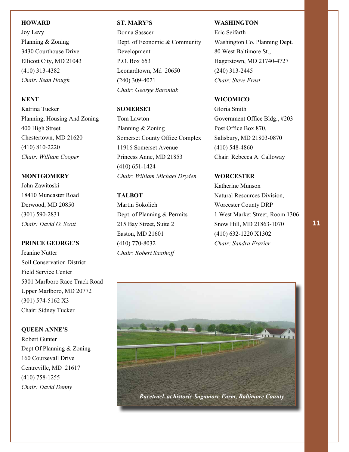#### **HOWARD**

Joy Levy Planning & Zoning 3430 Courthouse Drive Ellicott City, MD 21043 (410) 313-4382 *Chair: Sean Hough* 

#### **KENT**

Katrina Tucker Planning, Housing And Zoning 400 High Street Chestertown, MD 21620 (410) 810-2220 *Chair: William Cooper* 

#### **MONTGOMERY**

John Zawitoski 18410 Muncaster Road Derwood, MD 20850 (301) 590-2831 *Chair: David O. Scott* 

#### **PRINCE GEORGE'S**

Jeanine Nutter Soil Conservation District Field Service Center 5301 Marlboro Race Track Road Upper Marlboro, MD 20772 (301) 574-5162 X3 Chair: Sidney Tucker

### **QUEEN ANNE'S**

Robert Gunter Dept Of Planning & Zoning 160 Coursevall Drive Centreville, MD 21617 (410) 758-1255 *Chair: David Denny* 

#### **ST. MARY'S**

Donna Sasscer Dept. of Economic & Community Development P.O. Box 653 Leonardtown, Md 20650 (240) 309-4021 *Chair: George Baroniak* 

#### **SOMERSET**

Tom Lawton Planning & Zoning Somerset County Office Complex 11916 Somerset Avenue Princess Anne, MD 21853 (410) 651-1424 *Chair: William Michael Dryden* 

#### **TALBOT**

Martin Sokolich Dept. of Planning & Permits 215 Bay Street, Suite 2 Easton, MD 21601 (410) 770-8032 *Chair: Robert Saathoff* 

#### **WASHINGTON**

Eric Seifarth Washington Co. Planning Dept. 80 West Baltimore St., Hagerstown, MD 21740-4727 (240) 313-2445 *Chair: Steve Ernst* 

#### **WICOMICO**

Gloria Smith Government Office Bldg., #203 Post Office Box 870, Salisbury, MD 21803-0870 (410) 548-4860 Chair: Rebecca A. Calloway

#### **WORCESTER**

Katherine Munson Natural Resources Division, Worcester County DRP 1 West Market Street, Room 1306 Snow Hill, MD 21863-1070 (410) 632-1220 X1302 *Chair: Sandra Frazier*